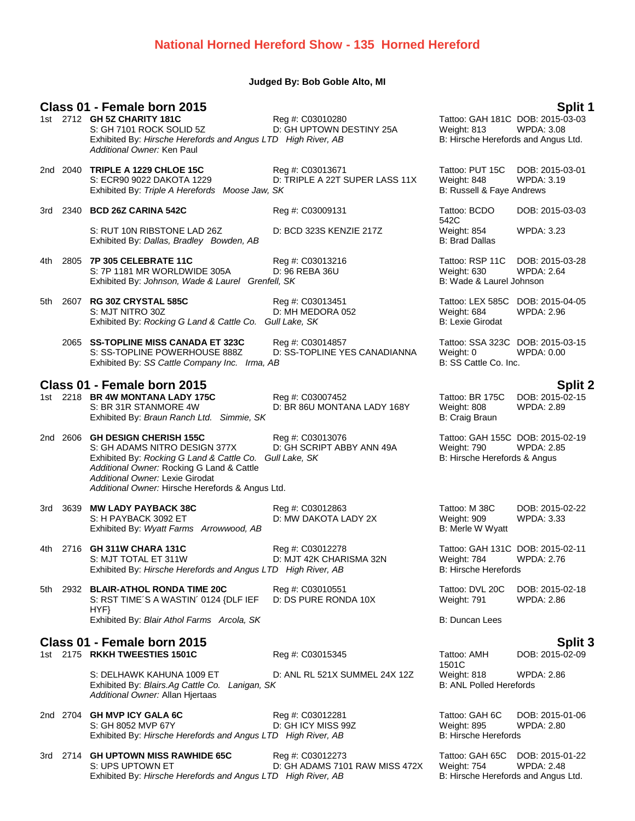### **National Horned Hereford Show - 135 Horned Hereford**

### **Judged By: Bob Goble Alto, MI**

### **Class 01 - Female born 2015 Split 1** Tattoo: GAH 181C DOB: 2015-03-03<br>Weight: 813 WPDA: 3.08 S: GH 7101 ROCK SOLID 5Z D: GH UPTOWN DESTINY 25A Weight: 813 Exhibited By: *Hirsche Herefords and Angus LTD High River, AB* B: Hirsche Herefords and Angus Ltd. *Additional Owner:* Ken Paul 2nd 2040 **TRIPLE A 1229 CHLOE 15C** Reg #: C03013671 Tattoo: PUT 15C DOB: 2015-03-01 S: ECR90 9022 DAKOTA 1229 D: TRIPLE A 22T SUPER LASS 11X Weight: 848 WPDA: 3.19 Exhibited By: Triple A Herefords Moose Jaw, SK B: Russell & Faye Andrews 3rd 2340 **BCD 26Z CARINA 542C** Reg #: C03009131 Tattoo: BCDO 542C<br>Weight: 854 DOB: 2015-03-03 S: RUT 10N RIBSTONE LAD 26Z D: BCD 323S KENZIE 217Z Weight: 854 WPDA: 3.23 Exhibited By: *Dallas, Bradley Bowden, AB* B: Brad Dallas 4th 2805 **7P 305 CELEBRATE 11C** Reg #: C03013216 Tattoo: RSP 11C DOB: 2015-03-28 S: 7P 1181 MR WORLDWIDE 305A D: 96 REBA 36U Weight: 630 WPDA: 2.64 Exhibited By: *Johnson, Wade & Laurel Grenfell, SK* B: Wade & Laurel Johnson 5th 2607 **RG 30Z CRYSTAL 585C** Reg #: C03013451 Tattoo: LEX 585C DOB: 2015-04-05 S: MJT NITRO 30Z D: MH MEDORA 052 Weight: 684 WPDA: 2.96 Exhibited By: *Rocking G Land & Cattle Co. Gull Lake, SK* B: Lexie Girodat 2065 **SS-TOPLINE MISS CANADA ET 323C** Reg #: C03014857 Tattoo: SSA 323C DOB: 2015-03-15 S: SS-TOPLINE POWERHOUSE 888Z D: SS-TOPLINE YES CANADIANNA Weight: 0 WPDA: 0.00<br>Exhibited By: SS Cattle Company Inc. Irma. AB B: SS Cattle Co. Inc. Exhibited By: *SS Cattle Company Inc. Irma, AB* **Class 01 - Female born 2015 Split 2** 1st 2218 **BR 4W MONTANA LADY 175C** Reg #: C03007452 Tattoo: BR 175C DOB: 2015-02-15 S: BR 31R STANMORE 4W D: BR 86U MONTANA LADY 168Y Weight: 808 WPDA: 2.89 Exhibited By: *Braun Ranch Ltd. Simmie, SK* B: Craig Braun 2nd 2606 **GH DESIGN CHERISH 155C** Reg #: C03013076 Tattoo: GAH 155C DOB: 2015-02-19 S: GH ADAMS NITRO DESIGN 377X D: GH SCRIPT ABBY ANN 49A Weight: 790 WPDA: 2.85<br>Exhibited By: *Rocking G Land & Cattle Co. Gull Lake, SK* B: Hirsche Herefords & Angus Exhibited By: *Rocking G Land & Cattle Co. Gull Lake, SK Additional Owner:* Rocking G Land & Cattle *Additional Owner:* Lexie Girodat *Additional Owner:* Hirsche Herefords & Angus Ltd. 3rd 3639 **MW LADY PAYBACK 38C** Reg #: C03012863 Tattoo: M 38C DOB: 2015-02-22 S: H PAYBACK 3092 ET 
D: MW DAKOTA LADY 2X 
D: WORKOTA LADY 2X
D: Meight: 909
B: Merle W Wyatt
B. Merle W Wyatt
B: Merle W Wyatt
B: Merle W Wyatt
B. Merle W Wyatt
D: MW DAKOTA LADY 2X

B. Merle W Wyatt

D: MW DAKOTA LADY 2 Exhibited By: Wyatt Farms Arrowwood, AB 4th 2716 **GH 311W CHARA 131C** Reg #: C03012278 Tattoo: GAH 131C DOB: 2015-02-11 D: MJT 42K CHARISMA 32N Weight: 784 Weight: 784 Weight: 784 Weight: 784 Weight: 2.766 Weight: 2.767 Weight: 2.767 Weight: 2.767 Weight: 2.767 Weight: 7.767 Weight: 7.767 Weight: 7.767 Weight: 7.767 Weight: 7.767 Weight: 7. Exhibited By: *Hirsche Herefords and Angus LTD High River, AB* 5th 2932 **BLAIR-ATHOL RONDA TIME 20C** Reg #: C03010551 Tattoo: DVL 20C DOB: 2015-02-18<br>S: RST TIME 'S A WASTIN' 0124 {DLF IEF D: DS PURE RONDA 10X Weight: 791 WPDA: 2.86 S: RST TIME´S A WASTIN´ 0124 {DLF IEF HYF} D: DS PURE RONDA 10X Weight: 791 Exhibited By: *Blair Athol Farms Arcola, SK* B: Duncan Lees **Class 01 - Female born 2015 Split 3** 1st 2175 **RKKH TWEESTIES 1501C** Reg #: C03015345 Reg #: C03015345 1501C DOB: 2015-02-09 S: DELHAWK KAHUNA 1009 ET BEL ANL RL 521X SUMMEL 24X 12Z Weight: 818 WPDA: 2.86<br>Exhibited By: *Biairs.Ag Cattle Co. Lanigan. SK* B: ANL Polled Herefords Exhibited By: Blairs.Ag Cattle Co. Lanigan, SK *Additional Owner:* Allan Hjertaas 2nd 2704 **GH MVP ICY GALA 6C** Reg #: C03012281 Tattoo: GAH 6C DOB: 2015-01-06 S: GH 8052 MVP 67Y D: GH ICY MISS 99Z Weight: 895 WPDA: 2.80 Exhibited By: *Hirsche Herefords and Angus LTD High River, AB* B: Hirsche Herefords 3rd 2714 **GH UPTOWN MISS RAWHIDE 65C** Reg #: C03012273 Tattoo: GAH 65C DOB: 2015-01-22 S: UPS UPTOWN ET 
D: GH ADAMS 7101 RAW MISS 472X 
Weight: 754 
WPDA: 2.48

Exhibited By: *Hirsche Herefords and Angus LTD High River, AB* B: Hirsche Herefords and Angus Ltd.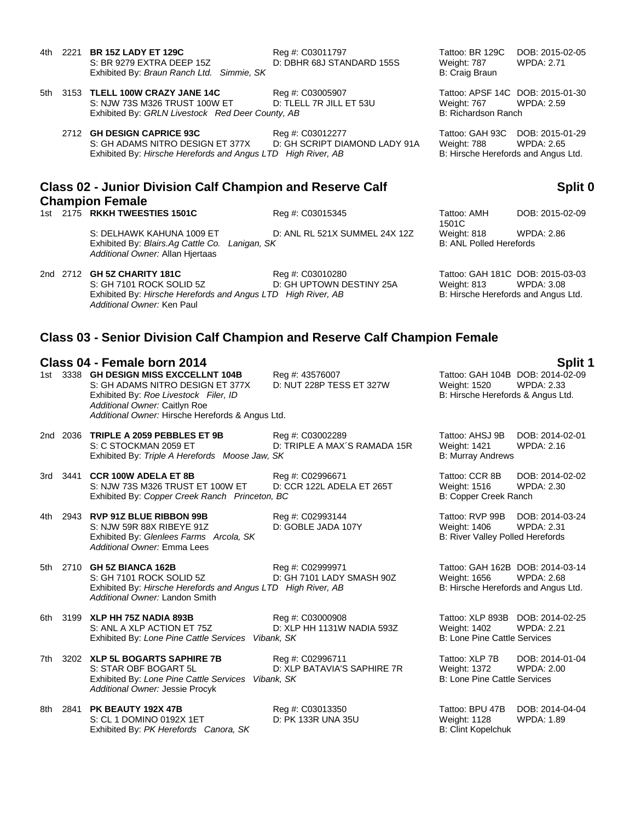Exhibited By: *Braun Ranch Ltd.* Simmie, SK B: Craig Braun B: Craig Braun 5th 3153 **TLELL 100W CRAZY JANE 14C** Reg #: C03005907 Tattoo: APSF 14C DOB: 2015-01-30 S: NJW 73S M326 TRUST 100W ET D: TLELL 7R JILL ET 53U Weight: 767 WPDA: 2.59 Exhibited By: *GRLN Livestock Red Deer County, AB* B: Richardson Ranch 2712 **GH DESIGN CAPRICE 93C** Reg #: C03012277 Tattoo: GAH 93C DOB: 2015-01-29 S: GH ADAMS NITRO DESIGN ET 377X D: GH SCRIPT DIAMOND LADY 91A Weight: 788 WPDA: 2.65 Exhibited By: *Hirsche Herefords and Angus LTD High River, AB* B: Hirsche Herefords and Angus Ltd.

## **Class 02 - Junior Division Calf Champion and Reserve Calf Champion Female**

1st 2175 **RKKH TWEESTIES 1501C** Reg #: C03015345 Tattoo: AMH

S: DELHAWK KAHUNA 1009 ET D: ANL RL 521X SUMMEL 24X 12Z Weight: 818 WPDA: 2.86 Exhibited By: *Blairs.Ag Cattle Co. Lanigan, SK* B: ANL Polled Herefords *Additional Owner:* Allan Hjertaas

S: GH 7101 ROCK SOLID 5Z **D: GH UPTOWN DESTINY 25A** Weight: 813 WPDA: 3.08 Exhibited By: *Hirsche Herefords and Angus LTD High River, AB* B: Hirsche Herefords and Angus Ltd. *Additional Owner:* Ken Paul

4th 2221 **BR 15Z LADY ET 129C** Reg #: C03011797 Tattoo: BR 129C DOB: 2015-02-05 S: BR 9279 EXTRA DEEP 15Z D: DBHR 68J STANDARD 155S Weight: 787 WPDA: 2.71

## **Split 0**

1501C DOB: 2015-02-09

2nd 2712 **GH 5Z CHARITY 181C** Reg #: C03010280 Tattoo: GAH 181C DOB: 2015-03-03

## **Class 03 - Senior Division Calf Champion and Reserve Calf Champion Female**

# **Class 04 - Female born 2014 Split 1**

1st 3338 **GH DESIGN MISS EXCCELLNT 104B** Reg #: 43576007<br>S: GH ADAMS NITRO DESIGN ET 377X D: NUT 228P TESS ET 327W S: GH ADAMS NITRO DESIGN ET 377X D: NUT 228P TESS ET 327W Weight: 1520 WPDA: 2.33 Exhibited By: *Roe Livestock Filer, ID* B: Hirsche Herefords & Angus Ltd. *Additional Owner:* Caitlyn Roe *Additional Owner:* Hirsche Herefords & Angus Ltd.

2nd 2036 **TRIPLE A 2059 PEBBLES ET 9B** Reg #: C03002289 Tattoo: AHSJ 9B DOB: 2014-02-01 S: C STOCKMAN 2059 ET CONTRIPLE A MAX'S RAMADA 15R Weight: 1421 WPDA: 2.16 Exhibited By: *Triple A Herefords Moose Jaw, SK* B: Murray Andrews B: Murray Andrews

3rd 3441 **CCR 100W ADELA ET 8B** Reg #: C02996671 Tattoo: CCR 8B DOB: 2014-02-02 S: NJW 73S M326 TRUST ET 100W ET D: CCR 122L ADELA ET 265T Weight: 1516 WPDA: 2.30 Exhibited By: *Copper Creek Ranch Princeton, BC* B: Copper Creek Ranch **B**: Copper Creek Ranch

4th 2943 **RVP 91Z BLUE RIBBON 99B** Reg #: C02993144 Tattoo: RVP 99B DOB: 2014-03-24 S: NJW 59R 88X RIBEYE 91Z D: GOBLE JADA 107Y Weight: 1406 WPDA: 2.31 Exhibited By: *Glenlees Farms Arcola, SK* B: River Valley Polled Herefords *Additional Owner:* Emma Lees

5th 2710 **GH 5Z BIANCA 162B** Reg #: C02999971 Tattoo: GAH 162B DOB: 2014-03-14 S: GH 7101 ROCK SOLID 5Z D: GH 7101 LADY SMASH 90Z Weight: 1656 WPDA: 2.68 Exhibited By: *Hirsche Herefords and Angus LTD High River, AB* B: Hirsche Herefords and Angus Ltd. *Additional Owner:* Landon Smith

6th 3199 **XLP HH 75Z NADIA 893B** Reg #: C03000908 Tattoo: XLP 893B DOB: 2014-02-25 S: ANL A XLP ACTION ET 75Z D: XLP HH 1131W NADIA 593Z Weight: 1402 WPDA: 2.21<br>Exhibited By: Lone Pine Cattle Services Vibank, SK B: Lone Pine Cattle Services Exhibited By: Lone Pine Cattle Services Vibank, SK

7th 3202 **XLP 5L BOGARTS SAPHIRE 7B** Reg #: C02996711 Tattoo: XLP 7B DOB: 2014-01-04<br>S: STAR OBF BOGART 5L D: XLP BATAVIA'S SAPHIRE 7R Weight: 1372 WPDA: 2.00 D: XLP BATAVIA'S SAPHIRE 7R Weight: 1372 WPDA: 2.000 D: XLP BATAVIA'S SAPHIRE 7R Weight: 1372 **Exhibited By: Lone Pine Cattle Services** *Additional Owner:* Jessie Procyk

8th 2841 **PK BEAUTY 192X 47B** Req #: C03013350 Tattoo: BPU 47B DOB: 2014-04-04 S: CL 1 DOMINO 0192X 1ET 
D: PK 133R UNA 35U Weight: 1128 WPDA: 1.89<br>
Exhibited By: PK Herefords Canora, SK B: Clint Kopelchuk B: Clint Kopelchuk Exhibited By: PK Herefords Canora, SK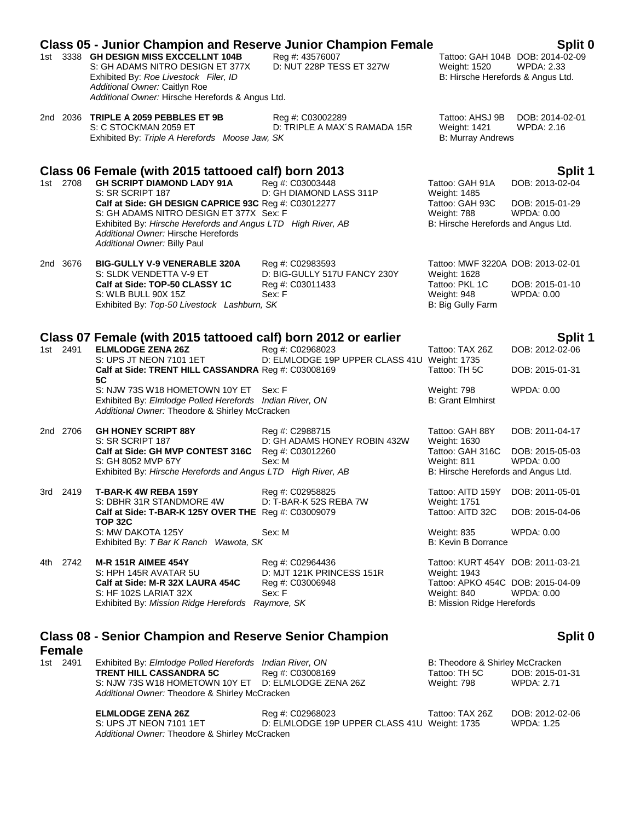|                           | <b>Class 05 - Junior Champion and Reserve Junior Champion Female</b>                                                                                                                                                                                                                            |                                                                                |                                                                                                                                            | Split 0                                                 |
|---------------------------|-------------------------------------------------------------------------------------------------------------------------------------------------------------------------------------------------------------------------------------------------------------------------------------------------|--------------------------------------------------------------------------------|--------------------------------------------------------------------------------------------------------------------------------------------|---------------------------------------------------------|
|                           | 1st 3338 GH DESIGN MISS EXCCELLNT 104B<br>S: GH ADAMS NITRO DESIGN ET 377X<br>Exhibited By: Roe Livestock Filer, ID<br>Additional Owner: Caitlyn Roe<br>Additional Owner: Hirsche Herefords & Angus Ltd.                                                                                        | Reg #: 43576007<br>D: NUT 228P TESS ET 327W                                    | <b>Weight: 1520</b><br>B: Hirsche Herefords & Angus Ltd.                                                                                   | Tattoo: GAH 104B DOB: 2014-02-09<br><b>WPDA: 2.33</b>   |
|                           | 2nd 2036 TRIPLE A 2059 PEBBLES ET 9B<br>S: C STOCKMAN 2059 ET<br>Exhibited By: Triple A Herefords Moose Jaw, SK                                                                                                                                                                                 | Reg #: C03002289<br>D: TRIPLE A MAX'S RAMADA 15R                               | Tattoo: AHSJ 9B<br><b>Weight: 1421</b><br><b>B: Murray Andrews</b>                                                                         | DOB: 2014-02-01<br>WPDA: 2.16                           |
|                           | Class 06 Female (with 2015 tattooed calf) born 2013                                                                                                                                                                                                                                             |                                                                                |                                                                                                                                            | Split 1                                                 |
| 1st 2708                  | <b>GH SCRIPT DIAMOND LADY 91A</b><br>S: SR SCRIPT 187<br>Calf at Side: GH DESIGN CAPRICE 93C Reg #: C03012277<br>S: GH ADAMS NITRO DESIGN ET 377X Sex: F<br>Exhibited By: Hirsche Herefords and Angus LTD High River, AB<br>Additional Owner: Hirsche Herefords<br>Additional Owner: Billy Paul | Reg #: C03003448<br>D: GH DIAMOND LASS 311P                                    | Tattoo: GAH 91A<br>Weight: 1485<br>Tattoo: GAH 93C<br>Weight: 788<br>B: Hirsche Herefords and Angus Ltd.                                   | DOB: 2013-02-04<br>DOB: 2015-01-29<br><b>WPDA: 0.00</b> |
| 2nd 3676                  | <b>BIG-GULLY V-9 VENERABLE 320A</b><br>S: SLDK VENDETTA V-9 ET<br>Calf at Side: TOP-50 CLASSY 1C<br>S: WLB BULL 90X 15Z<br>Exhibited By: Top-50 Livestock Lashburn, SK                                                                                                                          | Reg #: C02983593<br>D: BIG-GULLY 517U FANCY 230Y<br>Reg #: C03011433<br>Sex: F | Tattoo: MWF 3220A DOB: 2013-02-01<br>Weight: 1628<br>Tattoo: PKL 1C<br>Weight: 948<br>B: Big Gully Farm                                    | DOB: 2015-01-10<br>WPDA: 0.00                           |
|                           | Class 07 Female (with 2015 tattooed calf) born 2012 or earlier                                                                                                                                                                                                                                  |                                                                                |                                                                                                                                            | Split 1                                                 |
| 1st 2491                  | <b>ELMLODGE ZENA 26Z</b><br>S: UPS JT NEON 7101 1ET<br>Calf at Side: TRENT HILL CASSANDRA Reg #: C03008169                                                                                                                                                                                      | Reg #: C02968023<br>D: ELMLODGE 19P UPPER CLASS 41U Weight: 1735               | Tattoo: TAX 26Z<br>Tattoo: TH 5C                                                                                                           | DOB: 2012-02-06<br>DOB: 2015-01-31                      |
|                           | 5C<br>S: NJW 73S W18 HOMETOWN 10Y ET Sex: F<br>Exhibited By: Elmlodge Polled Herefords Indian River, ON<br>Additional Owner: Theodore & Shirley McCracken                                                                                                                                       |                                                                                | Weight: 798<br><b>B: Grant Elmhirst</b>                                                                                                    | WPDA: 0.00                                              |
| 2nd 2706                  | <b>GH HONEY SCRIPT 88Y</b><br>S: SR SCRIPT 187<br>Calf at Side: GH MVP CONTEST 316C<br>S: GH 8052 MVP 67Y<br>Exhibited By: Hirsche Herefords and Angus LTD High River, AB                                                                                                                       | Reg #: C2988715<br>D: GH ADAMS HONEY ROBIN 432W<br>Reg #: C03012260<br>Sex: M  | Tattoo: GAH 88Y<br>Weight: 1630<br>Tattoo: GAH 316C<br>Weight: 811<br>B: Hirsche Herefords and Angus Ltd.                                  | DOB: 2011-04-17<br>DOB: 2015-05-03<br><b>WPDA: 0.00</b> |
| 3rd 2419                  | T-BAR-K 4W REBA 159Y<br>S: DBHR 31R STANDMORE 4W<br>Calf at Side: T-BAR-K 125Y OVER THE Reg #: C03009079                                                                                                                                                                                        | Reg #: C02958825<br>D: T-BAR-K 52S REBA 7W                                     | Tattoo: AITD 159Y DOB: 2011-05-01<br>Weight: 1751<br>Tattoo: AITD 32C                                                                      | DOB: 2015-04-06                                         |
|                           | <b>TOP 32C</b><br>S: MW DAKOTA 125Y<br>Exhibited By: T Bar K Ranch Wawota, SK                                                                                                                                                                                                                   | Sex: M                                                                         | Weight: 835<br>B: Kevin B Dorrance                                                                                                         | <b>WPDA: 0.00</b>                                       |
| 4th 2742                  | <b>M-R 151R AIMEE 454Y</b><br>S: HPH 145R AVATAR 5U<br>Calf at Side: M-R 32X LAURA 454C<br>S: HF 102S LARIAT 32X<br>Exhibited By: Mission Ridge Herefords Raymore, SK                                                                                                                           | Reg #: C02964436<br>D: MJT 121K PRINCESS 151R<br>Reg #: C03006948<br>Sex: F    | Tattoo: KURT 454Y DOB: 2011-03-21<br>Weight: 1943<br>Tattoo: APKO 454C DOB: 2015-04-09<br>Weight: 840<br><b>B: Mission Ridge Herefords</b> | <b>WPDA: 0.00</b>                                       |
|                           | <b>Class 08 - Senior Champion and Reserve Senior Champion</b>                                                                                                                                                                                                                                   |                                                                                |                                                                                                                                            | Split 0                                                 |
| <b>Female</b><br>1st 2491 | Exhibited By: Elmlodge Polled Herefords Indian River, ON<br><b>TRENT HILL CASSANDRA 5C</b>                                                                                                                                                                                                      | Reg #: C03008169                                                               | B: Theodore & Shirley McCracken<br>Tattoo: TH 5C                                                                                           | DOB: 2015-01-31                                         |

**ELMLODGE ZENA 26Z** Reg #: C02968023 Tattoo: TAX 26Z DOB: 2012-02-06 S: UPS JT NEON 7101 1ET D: ELMLODGE 19P UPPER CLASS 41U Weight: 1735 WPDA: 1.25 *Additional Owner:* Theodore & Shirley McCracken

*Additional Owner:* Theodore & Shirley McCracken

S: NJW 73S W18 HOMETOWN 10Y ET D: ELMLODGE ZENA 26Z Weight: 798 WPDA: 2.71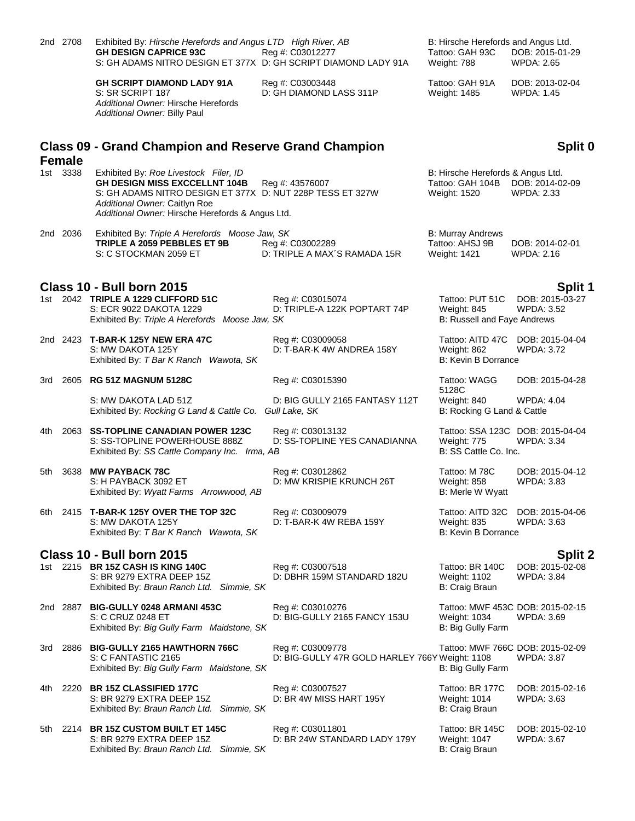|       | 2nd 2708      | Exhibited By: Hirsche Herefords and Angus LTD High River, AB<br><b>GH DESIGN CAPRICE 93C</b><br>S: GH ADAMS NITRO DESIGN ET 377X D: GH SCRIPT DIAMOND LADY 91A                                                                  | Reg #: C03012277                                                   | B: Hirsche Herefords and Angus Ltd.<br>Tattoo: GAH 93C<br>Weight: 788 | DOB: 2015-01-29<br><b>WPDA: 2.65</b>                  |
|-------|---------------|---------------------------------------------------------------------------------------------------------------------------------------------------------------------------------------------------------------------------------|--------------------------------------------------------------------|-----------------------------------------------------------------------|-------------------------------------------------------|
|       |               | <b>GH SCRIPT DIAMOND LADY 91A</b><br>S: SR SCRIPT 187<br>Additional Owner: Hirsche Herefords<br>Additional Owner: Billy Paul                                                                                                    | Reg #: C03003448<br>D: GH DIAMOND LASS 311P                        | Tattoo: GAH 91A<br>Weight: 1485                                       | DOB: 2013-02-04<br>WPDA: 1.45                         |
|       | <b>Female</b> | <b>Class 09 - Grand Champion and Reserve Grand Champion</b>                                                                                                                                                                     |                                                                    |                                                                       | Split 0                                               |
|       | 1st 3338      | Exhibited By: Roe Livestock Filer, ID<br><b>GH DESIGN MISS EXCCELLNT 104B</b><br>S: GH ADAMS NITRO DESIGN ET 377X D: NUT 228P TESS ET 327W<br>Additional Owner: Caitlyn Roe<br>Additional Owner: Hirsche Herefords & Angus Ltd. | Reg #: 43576007                                                    | B: Hirsche Herefords & Angus Ltd.<br>Tattoo: GAH 104B<br>Weight: 1520 | DOB: 2014-02-09<br><b>WPDA: 2.33</b>                  |
|       | 2nd 2036      | Exhibited By: Triple A Herefords Moose Jaw, SK<br>TRIPLE A 2059 PEBBLES ET 9B<br>S: C STOCKMAN 2059 ET                                                                                                                          | Reg #: C03002289<br>D: TRIPLE A MAX'S RAMADA 15R                   | <b>B: Murray Andrews</b><br>Tattoo: AHSJ 9B<br>Weight: 1421           | DOB: 2014-02-01<br>WPDA: 2.16                         |
|       |               | Class 10 - Bull born 2015                                                                                                                                                                                                       |                                                                    |                                                                       | Split 1                                               |
|       |               | 1st 2042 TRIPLE A 1229 CLIFFORD 51C<br>S: ECR 9022 DAKOTA 1229<br>Exhibited By: Triple A Herefords Moose Jaw, SK                                                                                                                | Reg #: C03015074<br>D: TRIPLE-A 122K POPTART 74P                   | Tattoo: PUT 51C<br>Weight: 845<br><b>B: Russell and Faye Andrews</b>  | DOB: 2015-03-27<br><b>WPDA: 3.52</b>                  |
|       |               | 2nd 2423 T-BAR-K 125Y NEW ERA 47C<br>S: MW DAKOTA 125Y<br>Exhibited By: T Bar K Ranch Wawota, SK                                                                                                                                | Reg #: C03009058<br>D: T-BAR-K 4W ANDREA 158Y                      | Weight: 862<br>B: Kevin B Dorrance                                    | Tattoo: AITD 47C DOB: 2015-04-04<br><b>WPDA: 3.72</b> |
| 3rd   |               | 2605 RG 51Z MAGNUM 5128C                                                                                                                                                                                                        | Reg #: C03015390                                                   | Tattoo: WAGG                                                          | DOB: 2015-04-28                                       |
|       |               | S: MW DAKOTA LAD 51Z<br>Exhibited By: Rocking G Land & Cattle Co.                                                                                                                                                               | D: BIG GULLY 2165 FANTASY 112T<br>Gull Lake, SK                    | 5128C<br>Weight: 840<br>B: Rocking G Land & Cattle                    | <b>WPDA: 4.04</b>                                     |
| 4th.  |               | 2063 SS-TOPLINE CANADIAN POWER 123C<br>S: SS-TOPLINE POWERHOUSE 888Z<br>Exhibited By: SS Cattle Company Inc. Irma, AB                                                                                                           | Reg #: C03013132<br>D: SS-TOPLINE YES CANADIANNA                   | Weight: 775<br>B: SS Cattle Co. Inc.                                  | Tattoo: SSA 123C DOB: 2015-04-04<br><b>WPDA: 3.34</b> |
| 5th   | 3638          | <b>MW PAYBACK 78C</b><br>S: H PAYBACK 3092 ET<br>Exhibited By: Wyatt Farms Arrowwood, AB                                                                                                                                        | Reg #: C03012862<br>D: MW KRISPIE KRUNCH 26T                       | Tattoo: M 78C<br>Weight: 858<br>B: Merle W Wyatt                      | DOB: 2015-04-12<br><b>WPDA: 3.83</b>                  |
| 6th - |               | 2415 T-BAR-K 125Y OVER THE TOP 32C<br>S: MW DAKOTA 125Y<br>Exhibited By: T Bar K Ranch Wawota, SK                                                                                                                               | Reg #: C03009079<br>D: T-BAR-K 4W REBA 159Y                        | Tattoo: AITD 32C<br>Weight: 835<br>B: Kevin B Dorrance                | DOB: 2015-04-06<br>WPDA: 3.63                         |
|       |               | Class 10 - Bull born 2015                                                                                                                                                                                                       |                                                                    |                                                                       | Split 2                                               |
|       |               | 1st 2215 BR 15Z CASH IS KING 140C<br>S: BR 9279 EXTRA DEEP 15Z<br>Exhibited By: Braun Ranch Ltd. Simmie, SK                                                                                                                     | Reg #: C03007518<br>D: DBHR 159M STANDARD 182U                     | Tattoo: BR 140C<br>Weight: 1102<br>B: Craig Braun                     | DOB: 2015-02-08<br><b>WPDA: 3.84</b>                  |
|       | 2nd 2887      | <b>BIG-GULLY 0248 ARMANI 453C</b><br>S: C CRUZ 0248 ET<br>Exhibited By: Big Gully Farm Maidstone, SK                                                                                                                            | Reg #: C03010276<br>D: BIG-GULLY 2165 FANCY 153U                   | Weight: 1034<br>B: Big Gully Farm                                     | Tattoo: MWF 453C DOB: 2015-02-15<br><b>WPDA: 3.69</b> |
| 3rd - | 2886          | <b>BIG-GULLY 2165 HAWTHORN 766C</b><br>S: C FANTASTIC 2165<br>Exhibited By: Big Gully Farm Maidstone, SK                                                                                                                        | Reg #: C03009778<br>D: BIG-GULLY 47R GOLD HARLEY 766Y Weight: 1108 | B: Big Gully Farm                                                     | Tattoo: MWF 766C DOB: 2015-02-09<br><b>WPDA: 3.87</b> |
| 4th   | 2220          | <b>BR 15Z CLASSIFIED 177C</b><br>S: BR 9279 EXTRA DEEP 15Z<br>Exhibited By: Braun Ranch Ltd. Simmie, SK                                                                                                                         | Reg #: C03007527<br>D: BR 4W MISS HART 195Y                        | Tattoo: BR 177C<br><b>Weight: 1014</b><br>B: Craig Braun              | DOB: 2015-02-16<br><b>WPDA: 3.63</b>                  |
| 5th   | 2214          | <b>BR 15Z CUSTOM BUILT ET 145C</b><br>S: BR 9279 EXTRA DEEP 15Z<br>Exhibited By: Braun Ranch Ltd. Simmie, SK                                                                                                                    | Reg #: C03011801<br>D: BR 24W STANDARD LADY 179Y                   | Tattoo: BR 145C<br>Weight: 1047<br>B: Craig Braun                     | DOB: 2015-02-10<br>WPDA: 3.67                         |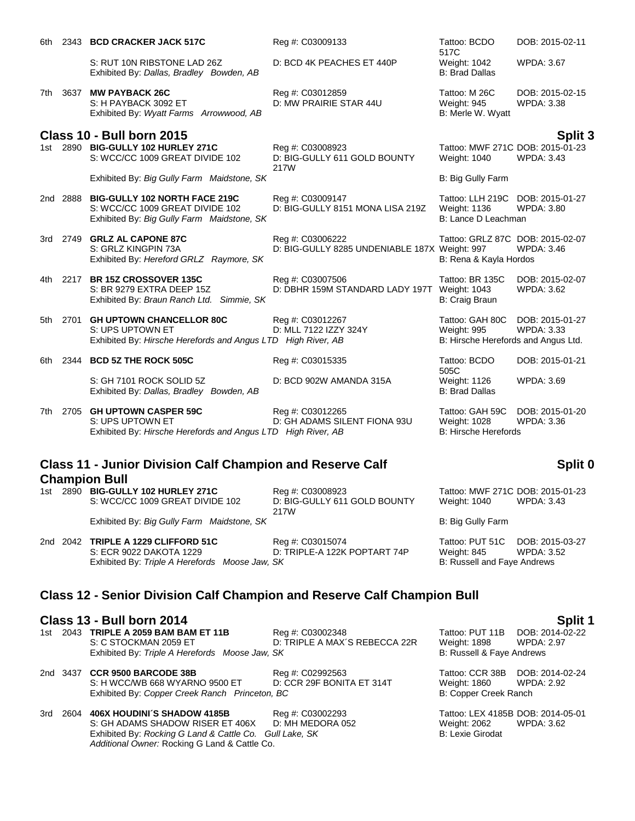| 6th.  |          | 2343 BCD CRACKER JACK 517C                                                                                            | Reg #: C03009133                                                  | Tattoo: BCDO<br>517C                                                           | DOB: 2015-02-11                      |
|-------|----------|-----------------------------------------------------------------------------------------------------------------------|-------------------------------------------------------------------|--------------------------------------------------------------------------------|--------------------------------------|
|       |          | S: RUT 10N RIBSTONE LAD 26Z<br>Exhibited By: Dallas, Bradley Bowden, AB                                               | D: BCD 4K PEACHES ET 440P                                         | Weight: 1042<br><b>B: Brad Dallas</b>                                          | <b>WPDA: 3.67</b>                    |
| 7th   | 3637     | <b>MW PAYBACK 26C</b><br>S: H PAYBACK 3092 ET<br>Exhibited By: Wyatt Farms Arrowwood, AB                              | Reg #: C03012859<br>D: MW PRAIRIE STAR 44U                        | Tattoo: M 26C<br>Weight: 945<br>B: Merle W. Wyatt                              | DOB: 2015-02-15<br><b>WPDA: 3.38</b> |
|       |          | Class 10 - Bull born 2015                                                                                             |                                                                   |                                                                                | Split 3                              |
|       |          | 1st 2890 BIG-GULLY 102 HURLEY 271C<br>S: WCC/CC 1009 GREAT DIVIDE 102                                                 | Reg #: C03008923<br>D: BIG-GULLY 611 GOLD BOUNTY<br>217W          | Tattoo: MWF 271C DOB: 2015-01-23<br><b>Weight: 1040</b>                        | <b>WPDA: 3.43</b>                    |
|       |          | Exhibited By: Big Gully Farm Maidstone, SK                                                                            |                                                                   | B: Big Gully Farm                                                              |                                      |
|       | 2nd 2888 | <b>BIG-GULLY 102 NORTH FACE 219C</b><br>S: WCC/CC 1009 GREAT DIVIDE 102<br>Exhibited By: Big Gully Farm Maidstone, SK | Reg #: C03009147<br>D: BIG-GULLY 8151 MONA LISA 219Z              | Tattoo: LLH 219C DOB: 2015-01-27<br><b>Weight: 1136</b><br>B: Lance D Leachman | <b>WPDA: 3.80</b>                    |
|       |          | 3rd 2749 GRLZ AL CAPONE 87C<br>S: GRLZ KINGPIN 73A<br>Exhibited By: Hereford GRLZ Raymore, SK                         | Reg #: C03006222<br>D: BIG-GULLY 8285 UNDENIABLE 187X Weight: 997 | Tattoo: GRLZ 87C DOB: 2015-02-07<br>B: Rena & Kayla Hordos                     | <b>WPDA: 3.46</b>                    |
|       |          | 4th 2217 BR 15Z CROSSOVER 135C<br>S: BR 9279 EXTRA DEEP 15Z<br>Exhibited By: Braun Ranch Ltd. Simmie, SK              | Reg #: C03007506<br>D: DBHR 159M STANDARD LADY 197T               | Tattoo: BR 135C<br>Weight: 1043<br>B: Craig Braun                              | DOB: 2015-02-07<br><b>WPDA: 3.62</b> |
| 5th - | 2701     | <b>GH UPTOWN CHANCELLOR 80C</b><br>S: UPS UPTOWN ET<br>Exhibited By: Hirsche Herefords and Angus LTD High River, AB   | Reg #: C03012267<br>D: MLL 7122 IZZY 324Y                         | Tattoo: GAH 80C<br>Weight: 995<br>B: Hirsche Herefords and Angus Ltd.          | DOB: 2015-01-27<br><b>WPDA: 3.33</b> |
| 6th - |          | 2344 BCD 5Z THE ROCK 505C                                                                                             | Reg #: C03015335                                                  | Tattoo: BCDO<br>505C                                                           | DOB: 2015-01-21                      |
|       |          | S: GH 7101 ROCK SOLID 5Z<br>Exhibited By: Dallas, Bradley Bowden, AB                                                  | D: BCD 902W AMANDA 315A                                           | Weight: 1126<br><b>B: Brad Dallas</b>                                          | WPDA: 3.69                           |
| 7th   | 2705     | <b>GH UPTOWN CASPER 59C</b><br>S: UPS UPTOWN ET<br>Exhibited By: Hirsche Herefords and Angus LTD High River, AB       | Reg #: C03012265<br>D: GH ADAMS SILENT FIONA 93U                  | Tattoo: GAH 59C<br>Weight: 1028<br><b>B: Hirsche Herefords</b>                 | DOB: 2015-01-20<br>WPDA: 3.36        |

### **Class 11 - Junior Division Calf Champion and Reserve Calf Champion Bull**

| 1st | 2890 | <b>BIG-GULLY 102 HURLEY 271C</b>           | Rea #: C03008923             | Tattoo: MWF 271C DOB: 2015-01-23 |
|-----|------|--------------------------------------------|------------------------------|----------------------------------|
|     |      | S: WCC/CC 1009 GREAT DIVIDE 102            | D: BIG-GULLY 611 GOLD BOUNTY | Weight: 1040<br>WPDA: 3.43       |
|     |      |                                            | 217W                         |                                  |
|     |      | Exhibited By: Big Gully Farm Maidstone, SK |                              | B: Big Gully Farm                |
|     |      |                                            |                              |                                  |

2nd 2042 **TRIPLE A 1229 CLIFFORD 51C** Reg #: C03015074 Tattoo: PUT 51C DOB: 2015-03-27 S: ECR 9022 DAKOTA 1229 D: TRIPLE-A 122K POPTART 74P Weight: 845 Exhibited By: Triple A Herefords Moose Jaw, SK B: Russell and Faye Andrews

### **Class 12 - Senior Division Calf Champion and Reserve Calf Champion Bull**

**Class 13 - Bull born 2014 Split 1** 1st 2043 **TRIPLE A 2059 BAM BAM ET 11B** S: C STOCKMAN 2059 ET D: TRIPLE A MAX'S REBECCA 22R Weight: 1898 WPDA: 2.97<br>Exhibited By: Triple A Herefords Moose Jaw, SK B: Russell & Faye Andrews Exhibited By: Triple A Herefords Moose Jaw, SK

|  | 2nd 3437 CCR 9500 BARCODE 38B                  | Reg #: C02992563          |
|--|------------------------------------------------|---------------------------|
|  | S: H WCC/WB 668 WYARNO 9500 ET                 | D: CCR 29F BONITA ET 314T |
|  | Exhibited By: Copper Creek Ranch Princeton, BC |                           |

3rd 2604 **406X HOUDINI´S SHADOW 4185B** Reg #: C03002293 Tattoo: LEX 4185B DOB: 2014-05-01<br>S: GH ADAMS SHADOW RISER ET 406X D: MH MEDORA 052 Weight: 2062 WPDA: 3.62 S: GH ADAMS SHADOW RISER ET 406X D: MH MEDORA 052 Weight: 2062 WPDA: 3.62 Exhibited By: *Rocking G Land & Cattle Co. Gull Lake, SK* B: Lexie Girodat *Additional Owner:* Rocking G Land & Cattle Co.

# **Split 0**

Tattoo: CCR 38B DOB: 2014-02-24 Weight: 1860 WPDA: 2.92 B: Copper Creek Ranch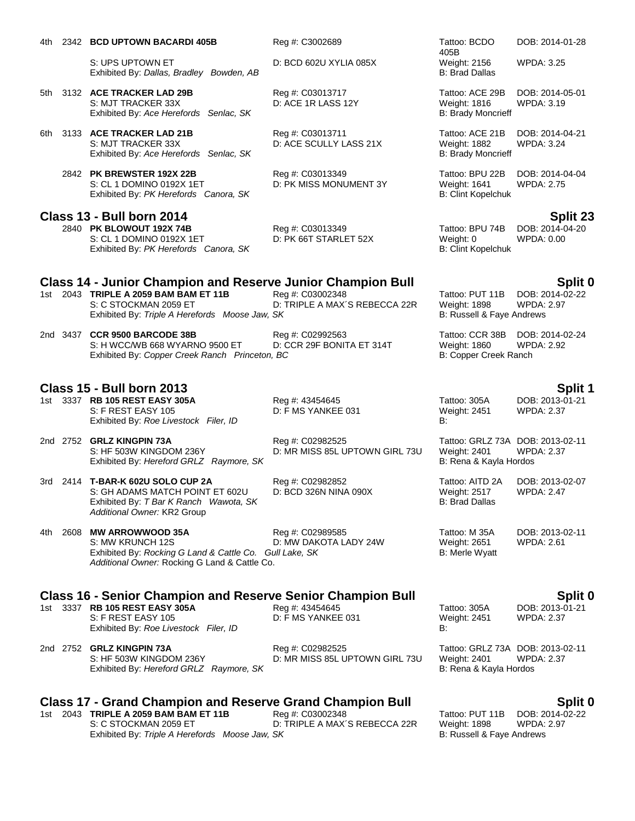|       |      | 4th 2342 BCD UPTOWN BACARDI 405B                                                                                                                                                       | Reg #: C3002689                                    | Tattoo: BCDO                                                               | DOB: 2014-01-28                                 |
|-------|------|----------------------------------------------------------------------------------------------------------------------------------------------------------------------------------------|----------------------------------------------------|----------------------------------------------------------------------------|-------------------------------------------------|
|       |      | S: UPS UPTOWN ET<br>Exhibited By: Dallas, Bradley Bowden, AB                                                                                                                           | D: BCD 602U XYLIA 085X                             | 405B<br>Weight: 2156<br><b>B: Brad Dallas</b>                              | <b>WPDA: 3.25</b>                               |
|       |      | 5th 3132 ACE TRACKER LAD 29B<br>S: MJT TRACKER 33X<br>Exhibited By: Ace Herefords Senlac, SK                                                                                           | Reg #: C03013717<br>D: ACE 1R LASS 12Y             | Tattoo: ACE 29B<br>Weight: 1816<br><b>B: Brady Moncrieff</b>               | DOB: 2014-05-01<br>WPDA: 3.19                   |
|       |      | 6th 3133 ACE TRACKER LAD 21B<br>S: MJT TRACKER 33X<br>Exhibited By: Ace Herefords Senlac, SK                                                                                           | Reg #: C03013711<br>D: ACE SCULLY LASS 21X         | Tattoo: ACE 21B<br>Weight: 1882<br><b>B: Brady Moncrieff</b>               | DOB: 2014-04-21<br><b>WPDA: 3.24</b>            |
|       |      | 2842 PK BREWSTER 192X 22B<br>S: CL 1 DOMINO 0192X 1ET<br>Exhibited By: PK Herefords Canora, SK                                                                                         | Reg #: C03013349<br>D: PK MISS MONUMENT 3Y         | Tattoo: BPU 22B<br><b>Weight: 1641</b><br><b>B: Clint Kopelchuk</b>        | DOB: 2014-04-04<br><b>WPDA: 2.75</b>            |
|       |      | Class 13 - Bull born 2014                                                                                                                                                              |                                                    |                                                                            |                                                 |
|       |      | 2840 PK BLOWOUT 192X 74B<br>S: CL 1 DOMINO 0192X 1ET<br>Exhibited By: PK Herefords Canora, SK                                                                                          | Reg #: C03013349<br>D: PK 66T STARLET 52X          | Tattoo: BPU 74B<br>Weight: 0<br><b>B: Clint Kopelchuk</b>                  | Split 23<br>DOB: 2014-04-20<br>WPDA: 0.00       |
|       |      |                                                                                                                                                                                        |                                                    |                                                                            |                                                 |
|       |      | <b>Class 14 - Junior Champion and Reserve Junior Champion Bull</b><br>1st 2043 TRIPLE A 2059 BAM BAM ET 11B<br>S: C STOCKMAN 2059 ET<br>Exhibited By: Triple A Herefords Moose Jaw, SK | Reg #: C03002348<br>D: TRIPLE A MAX'S REBECCA 22R  | Tattoo: PUT 11B<br><b>Weight: 1898</b><br>B: Russell & Faye Andrews        | Split 0<br>DOB: 2014-02-22<br><b>WPDA: 2.97</b> |
|       |      | 2nd 3437 CCR 9500 BARCODE 38B<br>S: H WCC/WB 668 WYARNO 9500 ET<br>Exhibited By: Copper Creek Ranch Princeton, BC                                                                      | Reg #: C02992563<br>D: CCR 29F BONITA ET 314T      | Tattoo: CCR 38B<br>Weight: 1860<br>B: Copper Creek Ranch                   | DOB: 2014-02-24<br><b>WPDA: 2.92</b>            |
|       |      | <b>Class 15 - Bull born 2013</b>                                                                                                                                                       |                                                    |                                                                            |                                                 |
|       |      | 1st 3337 RB 105 REST EASY 305A<br>S: F REST EASY 105<br>Exhibited By: Roe Livestock Filer, ID                                                                                          | Reg #: 43454645<br>D: F MS YANKEE 031              | Tattoo: 305A<br>Weight: 2451<br>B:                                         | Split 1<br>DOB: 2013-01-21<br><b>WPDA: 2.37</b> |
|       |      | 2nd 2752 GRLZ KINGPIN 73A<br>S: HF 503W KINGDOM 236Y<br>Exhibited By: Hereford GRLZ Raymore, SK                                                                                        | Reg #: C02982525<br>D: MR MISS 85L UPTOWN GIRL 73U | Tattoo: GRLZ 73A DOB: 2013-02-11<br>Weight: 2401<br>B: Rena & Kayla Hordos | <b>WPDA: 2.37</b>                               |
|       |      | 3rd 2414 T-BAR-K 602U SOLO CUP 2A<br>S: GH ADAMS MATCH POINT ET 602U<br>Exhibited By: T Bar K Ranch Wawota, SK<br>Additional Owner: KR2 Group                                          | Reg #: C02982852<br>D: BCD 326N NINA 090X          | Tattoo: AITD 2A<br>Weight: 2517<br><b>B: Brad Dallas</b>                   | DOB: 2013-02-07<br><b>WPDA: 2.47</b>            |
| 4th - | 2608 | <b>MW ARROWWOOD 35A</b><br>S: MW KRUNCH 12S<br>Exhibited By: Rocking G Land & Cattle Co. Gull Lake, SK<br>Additional Owner: Rocking G Land & Cattle Co.                                | Reg #: C02989585<br>D: MW DAKOTA LADY 24W          | Tattoo: M 35A<br>Weight: 2651<br><b>B: Merle Wyatt</b>                     | DOB: 2013-02-11<br>WPDA: 2.61                   |
|       |      |                                                                                                                                                                                        |                                                    |                                                                            |                                                 |
|       |      | <b>Class 16 - Senior Champion and Reserve Senior Champion Bull</b><br>1st 3337 RB 105 REST EASY 305A<br>S: F REST EASY 105<br>Exhibited By: Roe Livestock Filer, ID                    | Reg #: 43454645<br>D: F MS YANKEE 031              | Tattoo: 305A<br><b>Weight: 2451</b><br>В:                                  | Split 0<br>DOB: 2013-01-21<br><b>WPDA: 2.37</b> |
|       |      | 2nd 2752 <b>GRLZ KINGPIN 73A</b><br>S: HF 503W KINGDOM 236Y<br>Exhibited By: Hereford GRLZ Raymore, SK                                                                                 | Reg #: C02982525<br>D: MR MISS 85L UPTOWN GIRL 73U | Tattoo: GRLZ 73A DOB: 2013-02-11<br>Weight: 2401<br>B: Rena & Kayla Hordos | <b>WPDA: 2.37</b>                               |
|       |      |                                                                                                                                                                                        |                                                    |                                                                            |                                                 |
|       |      | <b>Class 17 - Grand Champion and Reserve Grand Champion Bull</b>                                                                                                                       |                                                    |                                                                            | Split 0                                         |
|       |      | 1st 2043 TRIPLE A 2059 BAM BAM ET 11B<br>S: C STOCKMAN 2059 ET                                                                                                                         | Reg #: C03002348<br>D: TRIPLE A MAX'S REBECCA 22R  | Tattoo: PUT 11B<br>Weight: 1898                                            | DOB: 2014-02-22<br><b>WPDA: 2.97</b>            |

Exhibited By: *Triple A Herefords Moose Jaw, SK* B: Russell & Faye Andrews B: Russell & Faye Andrews